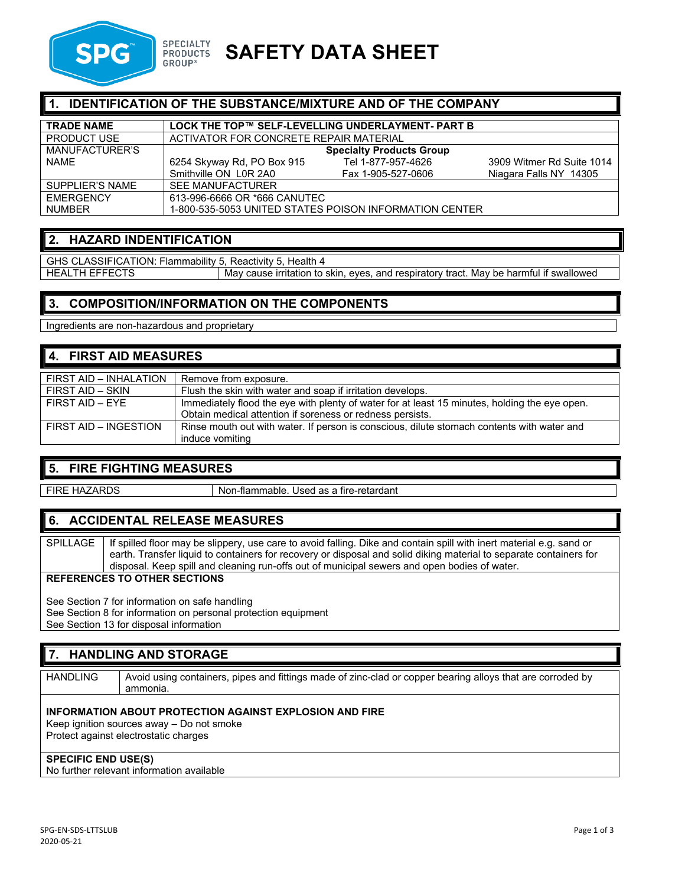

# **SAFETY DATA SHEET**

### **IDENTIFICATION OF THE SUBSTANCE/MIXTURE AND OF THE COMPANY**

| <b>TRADE NAME</b>  | LOCK THE TOP™ SELF-LEVELLING UNDERLAYMENT- PART B       |                    |                           |
|--------------------|---------------------------------------------------------|--------------------|---------------------------|
| <b>PRODUCT USE</b> | ACTIVATOR FOR CONCRETE REPAIR MATERIAL                  |                    |                           |
| MANUFACTURER'S     | <b>Specialty Products Group</b>                         |                    |                           |
| <b>NAME</b>        | 6254 Skyway Rd, PO Box 915                              | Tel 1-877-957-4626 | 3909 Witmer Rd Suite 1014 |
|                    | Smithville ON L0R 2A0                                   | Fax 1-905-527-0606 | Niagara Falls NY 14305    |
| SUPPLIER'S NAME    | <b>SEE MANUFACTURER</b>                                 |                    |                           |
| <b>FMFRGFNCY</b>   | 613-996-6666 OR *666 CANUTEC                            |                    |                           |
| <b>NUMBER</b>      | 1-800-535-5053 UNITED STATES POISON INFORMATION CENTER. |                    |                           |

# **2. HAZARD INDENTIFICATION**

GHS CLASSIFICATION: Flammability 5, Reactivity 5, Health 4<br>HEALTH EFFECTS May cause irritation to May cause irritation to skin, eyes, and respiratory tract. May be harmful if swallowed

### **3. COMPOSITION/INFORMATION ON THE COMPONENTS**

Ingredients are non-hazardous and proprietary

# **4. FIRST AID MEASURES**

| FIRST AID - INHALATION | Remove from exposure.                                                                         |
|------------------------|-----------------------------------------------------------------------------------------------|
| FIRST AID - SKIN       | Flush the skin with water and soap if irritation develops.                                    |
| $FIRST$ AID $ FYF$     | Immediately flood the eye with plenty of water for at least 15 minutes, holding the eye open. |
|                        | Obtain medical attention if soreness or redness persists.                                     |
| FIRST AID - INGESTION  | Rinse mouth out with water. If person is conscious, dilute stomach contents with water and    |
|                        | induce vomiting                                                                               |

### **5. FIRE FIGHTING MEASURES**

FIRE HAZARDS Non-flammable. Used as a fire-retardant

# **6. ACCIDENTAL RELEASE MEASURES**

SPILLAGE | If spilled floor may be slippery, use care to avoid falling. Dike and contain spill with inert material e.g. sand or earth. Transfer liquid to containers for recovery or disposal and solid diking material to separate containers for disposal. Keep spill and cleaning run-offs out of municipal sewers and open bodies of water.

#### **REFERENCES TO OTHER SECTIONS**

See Section 7 for information on safe handling See Section 8 for information on personal protection equipment See Section 13 for disposal information

### **7. HANDLING AND STORAGE**

HANDLING | Avoid using containers, pipes and fittings made of zinc-clad or copper bearing alloys that are corroded by ammonia.

#### **INFORMATION ABOUT PROTECTION AGAINST EXPLOSION AND FIRE**

Keep ignition sources away – Do not smoke Protect against electrostatic charges

#### **SPECIFIC END USE(S)**

No further relevant information available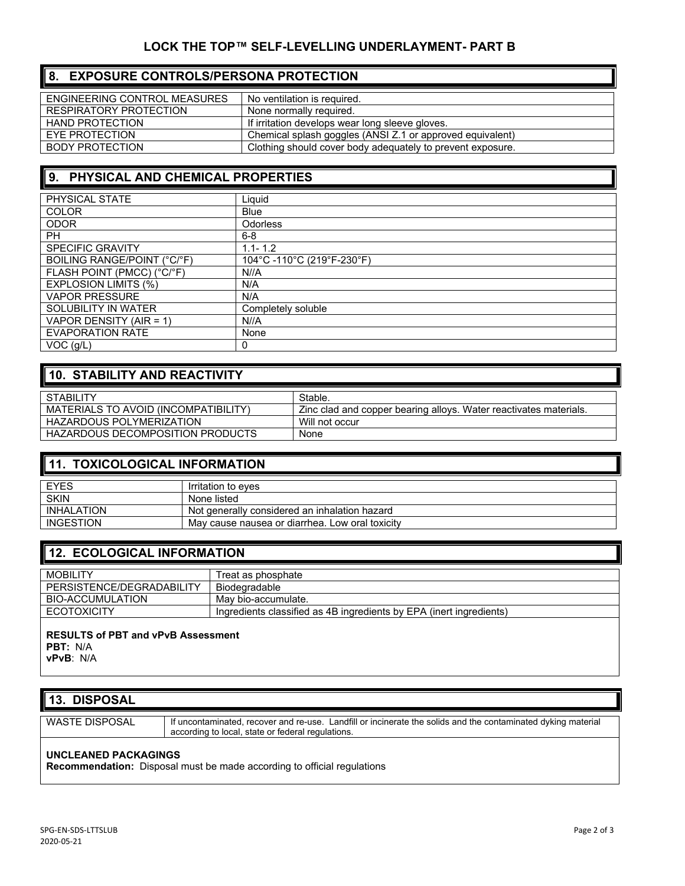## **8. EXPOSURE CONTROLS/PERSONA PROTECTION**

| ENGINEERING CONTROL MEASURES | No ventilation is required.                                |
|------------------------------|------------------------------------------------------------|
| RESPIRATORY PROTECTION       | None normally required.                                    |
| HAND PROTECTION              | If irritation develops wear long sleeve gloves.            |
| EYE PROTECTION               | Chemical splash goggles (ANSI Z.1 or approved equivalent)  |
| BODY PROTECTION              | Clothing should cover body adequately to prevent exposure. |

# **9. PHYSICAL AND CHEMICAL PROPERTIES**

| PHYSICAL STATE              | Liauid                    |
|-----------------------------|---------------------------|
| <b>COLOR</b>                | <b>Blue</b>               |
| <b>ODOR</b>                 | <b>Odorless</b>           |
| <b>PH</b>                   | $6 - 8$                   |
| <b>SPECIFIC GRAVITY</b>     | $1.1 - 1.2$               |
| BOILING RANGE/POINT (°C/°F) | 104°C-110°C (219°F-230°F) |
| FLASH POINT (PMCC) (°C/°F)  | N//A                      |
| <b>EXPLOSION LIMITS (%)</b> | N/A                       |
| <b>VAPOR PRESSURE</b>       | N/A                       |
| SOLUBILITY IN WATER         | Completely soluble        |
| VAPOR DENSITY (AIR = 1)     | N//A                      |
| <b>EVAPORATION RATE</b>     | None                      |
| $VOC$ ( $g/L$ )             | 0                         |

# **10. STABILITY AND REACTIVITY**

| <b>STABILITY</b>                     | Stable.                                                           |
|--------------------------------------|-------------------------------------------------------------------|
| MATERIALS TO AVOID (INCOMPATIBILITY) | Zinc clad and copper bearing alloys. Water reactivates materials. |
| <b>HAZARDOUS POLYMERIZATION</b>      | Will not occur                                                    |
| HAZARDOUS DECOMPOSITION PRODUCTS     | None                                                              |

### **11. TOXICOLOGICAL INFORMATION**

| EYES              | Irritation to eves                              |
|-------------------|-------------------------------------------------|
| <b>SKIN</b>       | None listed                                     |
| <b>INHALATION</b> | Not generally considered an inhalation hazard   |
| INGESTION         | May cause nausea or diarrhea. Low oral toxicity |

# **12. ECOLOGICAL INFORMATION**

| <b>MOBILITY</b>           | Treat as phosphate                                                  |
|---------------------------|---------------------------------------------------------------------|
| PERSISTENCE/DEGRADABILITY | Biodegradable                                                       |
| BIO-ACCUMULATION          | Mav bio-accumulate.                                                 |
| <b>ECOTOXICITY</b>        | Ingredients classified as 4B ingredients by EPA (inert ingredients) |
|                           |                                                                     |

#### **RESULTS of PBT and vPvB Assessment PBT:** N/A **vPvB**: N/A

| 13. DISPOSAL                |                                                                                                                                                                    |
|-----------------------------|--------------------------------------------------------------------------------------------------------------------------------------------------------------------|
| <b>WASTE DISPOSAL</b>       | If uncontaminated, recover and re-use. Landfill or incinerate the solids and the contaminated dyking material<br>according to local, state or federal regulations. |
| <b>UNCLEANED PACKAGINGS</b> |                                                                                                                                                                    |

**Recommendation:** Disposal must be made according to official regulations